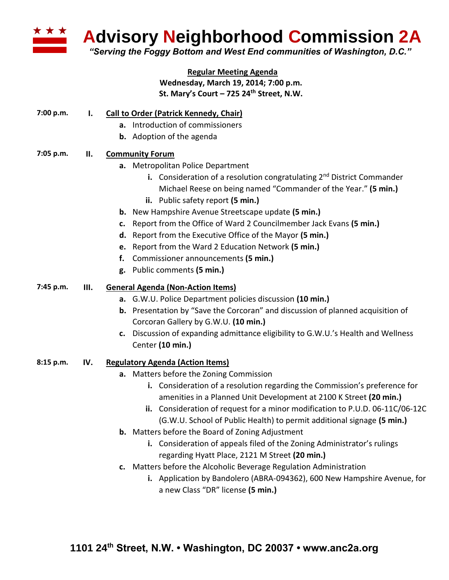

**Advisory Neighborhood Commission 2A**

*"Serving the Foggy Bottom and West End communities of Washington, D.C."*

#### **Regular Meeting Agenda**

**Wednesday, March 19, 2014; 7:00 p.m. St. Mary's Court – 725 24th Street, N.W.**

# **7:00 p.m. I. Call to Order (Patrick Kennedy, Chair)**

- **a.** Introduction of commissioners
- **b.** Adoption of the agenda

## **7:05 p.m. II. Community Forum**

- **a.** Metropolitan Police Department
	- **i.** Consideration of a resolution congratulating 2<sup>nd</sup> District Commander Michael Reese on being named "Commander of the Year." **(5 min.)**
	- **ii.** Public safety report **(5 min.)**
- **b.** New Hampshire Avenue Streetscape update **(5 min.)**
- **c.** Report from the Office of Ward 2 Councilmember Jack Evans **(5 min.)**
- **d.** Report from the Executive Office of the Mayor **(5 min.)**
- **e.** Report from the Ward 2 Education Network **(5 min.)**
- **f.** Commissioner announcements **(5 min.)**
- **g.** Public comments **(5 min.)**

## **7:45 p.m. III. General Agenda (Non-Action Items)**

- **a.** G.W.U. Police Department policies discussion **(10 min.)**
- **b.** Presentation by "Save the Corcoran" and discussion of planned acquisition of Corcoran Gallery by G.W.U. **(10 min.)**
- **c.** Discussion of expanding admittance eligibility to G.W.U.'s Health and Wellness Center **(10 min.)**

## **8:15 p.m. IV. Regulatory Agenda (Action Items)**

- **a.** Matters before the Zoning Commission
	- **i.** Consideration of a resolution regarding the Commission's preference for amenities in a Planned Unit Development at 2100 K Street **(20 min.)**
	- **ii.** Consideration of request for a minor modification to P.U.D. 06-11C/06-12C (G.W.U. School of Public Health) to permit additional signage **(5 min.)**
- **b.** Matters before the Board of Zoning Adjustment
	- **i.** Consideration of appeals filed of the Zoning Administrator's rulings regarding Hyatt Place, 2121 M Street **(20 min.)**
- **c.** Matters before the Alcoholic Beverage Regulation Administration
	- **i.** Application by Bandolero (ABRA-094362), 600 New Hampshire Avenue, for a new Class "DR" license **(5 min.)**